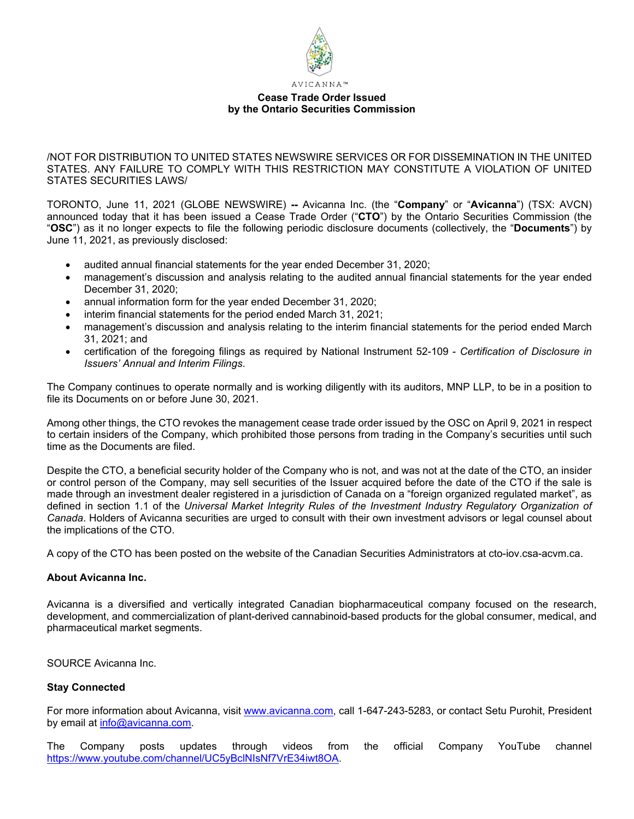

**Cease Trade Order Issued by the Ontario Securities Commission** 

/NOT FOR DISTRIBUTION TO UNITED STATES NEWSWIRE SERVICES OR FOR DISSEMINATION IN THE UNITED STATES. ANY FAILURE TO COMPLY WITH THIS RESTRICTION MAY CONSTITUTE A VIOLATION OF UNITED STATES SECURITIES LAWS/

TORONTO, June 11, 2021 (GLOBE NEWSWIRE) **--** Avicanna Inc. (the "**Company**" or "**Avicanna**") (TSX: AVCN) announced today that it has been issued a Cease Trade Order ("**CTO**") by the Ontario Securities Commission (the "**OSC**") as it no longer expects to file the following periodic disclosure documents (collectively, the "**Documents**") by June 11, 2021, as previously disclosed:

- audited annual financial statements for the year ended December 31, 2020;
- management's discussion and analysis relating to the audited annual financial statements for the year ended December 31, 2020;
- annual information form for the year ended December 31, 2020;
- interim financial statements for the period ended March 31, 2021;
- management's discussion and analysis relating to the interim financial statements for the period ended March 31, 2021; and
- certification of the foregoing filings as required by National Instrument 52-109 *Certification of Disclosure in Issuers' Annual and Interim Filings*.

The Company continues to operate normally and is working diligently with its auditors, MNP LLP, to be in a position to file its Documents on or before June 30, 2021.

Among other things, the CTO revokes the management cease trade order issued by the OSC on April 9, 2021 in respect to certain insiders of the Company, which prohibited those persons from trading in the Company's securities until such time as the Documents are filed.

Despite the CTO, a beneficial security holder of the Company who is not, and was not at the date of the CTO, an insider or control person of the Company, may sell securities of the Issuer acquired before the date of the CTO if the sale is made through an investment dealer registered in a jurisdiction of Canada on a "foreign organized regulated market", as defined in section 1.1 of the *Universal Market Integrity Rules of the Investment Industry Regulatory Organization of Canada*. Holders of Avicanna securities are urged to consult with their own investment advisors or legal counsel about the implications of the CTO.

A copy of the CTO has been posted on the website of the Canadian Securities Administrators at cto-iov.csa-acvm.ca.

## **About Avicanna Inc.**

Avicanna is a diversified and vertically integrated Canadian biopharmaceutical company focused on the research, development, and commercialization of plant-derived cannabinoid-based products for the global consumer, medical, and pharmaceutical market segments.

SOURCE Avicanna Inc.

## **Stay Connected**

For more information about Avicanna, visit [www.avicanna.com,](http://www.avicanna.com/) call 1-647-243-5283, or contact Setu Purohit, President by email at [info@avicanna.com.](mailto:info@avicanna.com)

The Company posts updates through videos from the official Company YouTube channel [https://www.youtube.com/channel/UC5yBclNIsNf7VrE34iwt8OA.](https://www.youtube.com/channel/UC5yBclNIsNf7VrE34iwt8OA)